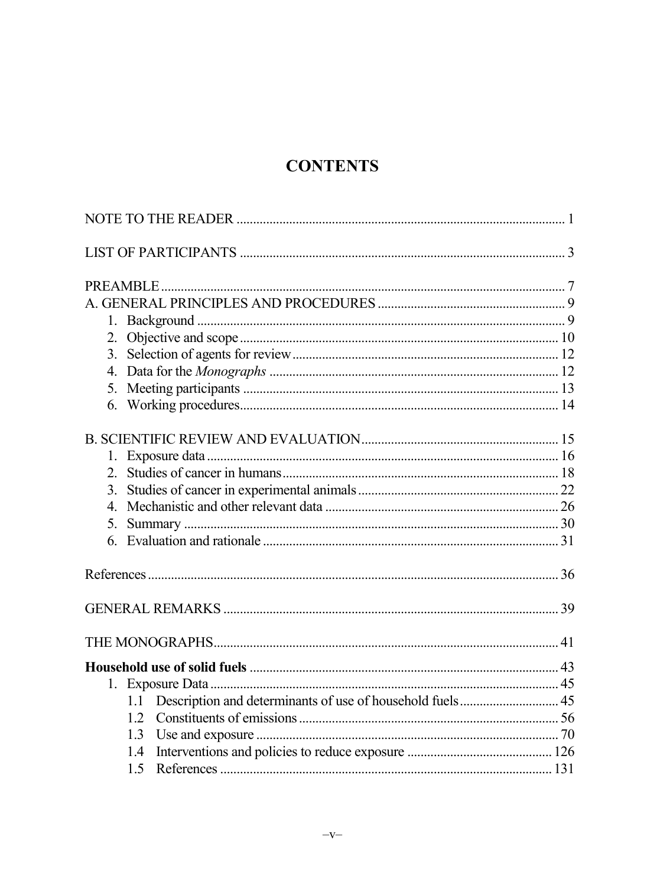## **CONTENTS**

| $\overline{4}$ |  |
|----------------|--|
| 5.             |  |
|                |  |
|                |  |
|                |  |
|                |  |
|                |  |
|                |  |
|                |  |
|                |  |
| 1.3            |  |
| 1.4            |  |
|                |  |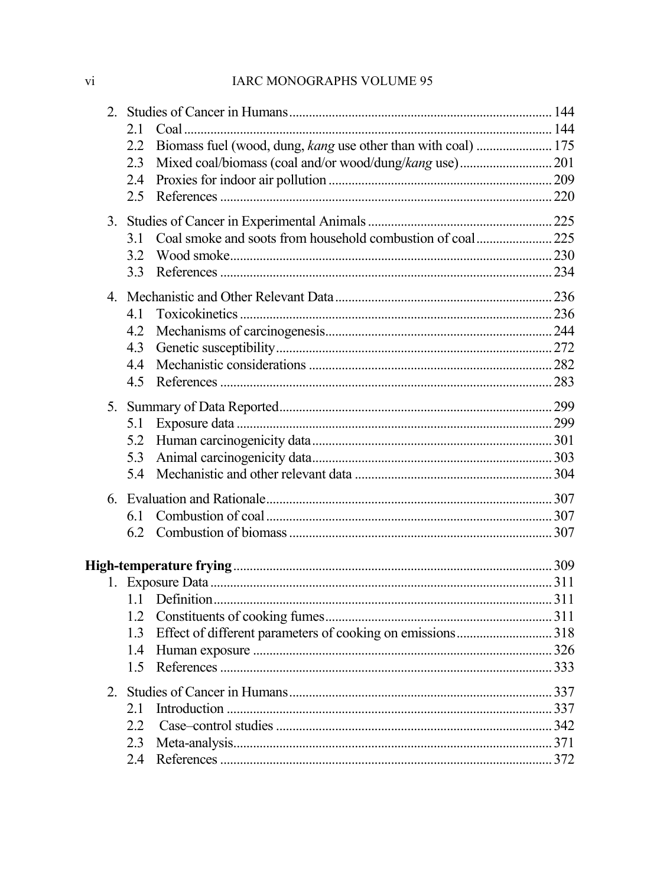## IARC MONOGRAPHS VOLUME 95

|  | 21                                                                   |  |
|--|----------------------------------------------------------------------|--|
|  | Biomass fuel (wood, dung, kang use other than with coal)  175<br>2.2 |  |
|  | 2.3                                                                  |  |
|  | 2.4                                                                  |  |
|  | 2.5                                                                  |  |
|  |                                                                      |  |
|  | 3.1                                                                  |  |
|  | 3.2                                                                  |  |
|  | 3.3                                                                  |  |
|  |                                                                      |  |
|  | 4.1                                                                  |  |
|  | 4.2                                                                  |  |
|  | 4.3                                                                  |  |
|  | 4.4                                                                  |  |
|  | 4.5                                                                  |  |
|  |                                                                      |  |
|  | 5.1                                                                  |  |
|  | 5.2                                                                  |  |
|  | 5.3                                                                  |  |
|  | 5.4                                                                  |  |
|  |                                                                      |  |
|  | 6.1                                                                  |  |
|  | 62                                                                   |  |
|  |                                                                      |  |
|  |                                                                      |  |
|  | 11                                                                   |  |
|  | 1.2                                                                  |  |
|  | 1.3                                                                  |  |
|  | 1.4                                                                  |  |
|  | 1.5                                                                  |  |
|  |                                                                      |  |
|  | 21                                                                   |  |
|  | 22                                                                   |  |
|  | 2.3                                                                  |  |
|  | 2.4                                                                  |  |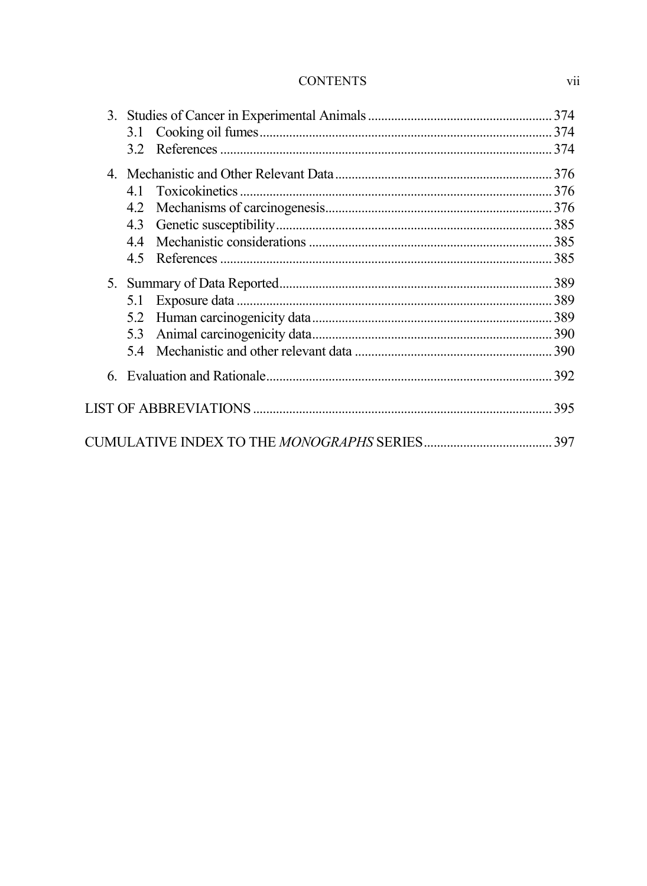## **CONTENTS**

|  |                       | 374 |
|--|-----------------------|-----|
|  |                       |     |
|  |                       |     |
|  |                       |     |
|  | Toxicokinetics.<br>41 |     |
|  | 4.2                   |     |
|  | 4.3                   |     |
|  | 44                    |     |
|  | 4.5                   |     |
|  |                       |     |
|  | 5.1                   |     |
|  | 5.2                   |     |
|  | 5.3                   |     |
|  | 54                    |     |
|  |                       |     |
|  |                       | 395 |
|  |                       |     |

vii